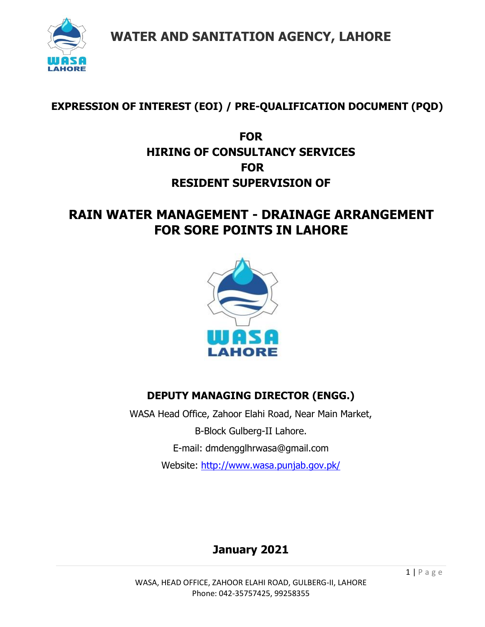

### **EXPRESSION OF INTEREST (EOI) / PRE-QUALIFICATION DOCUMENT (PQD)**

### **FOR HIRING OF CONSULTANCY SERVICES FOR RESIDENT SUPERVISION OF**

## **RAIN WATER MANAGEMENT - DRAINAGE ARRANGEMENT FOR SORE POINTS IN LAHORE**



### **DEPUTY MANAGING DIRECTOR (ENGG.)**

WASA Head Office, Zahoor Elahi Road, Near Main Market, B-Block Gulberg-II Lahore. E-mail: dmdengglhrwasa@gmail.com Website:<http://www.wasa.punjab.gov.pk/>

## **January 2021**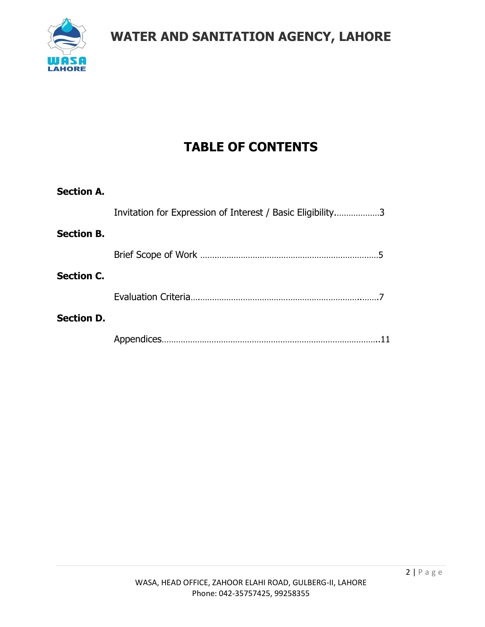

# **TABLE OF CONTENTS**

| <b>Section A.</b> |                                                            |  |
|-------------------|------------------------------------------------------------|--|
|                   | Invitation for Expression of Interest / Basic Eligibility3 |  |
| <b>Section B.</b> |                                                            |  |
|                   |                                                            |  |
| <b>Section C.</b> |                                                            |  |
|                   |                                                            |  |
| <b>Section D.</b> |                                                            |  |
|                   |                                                            |  |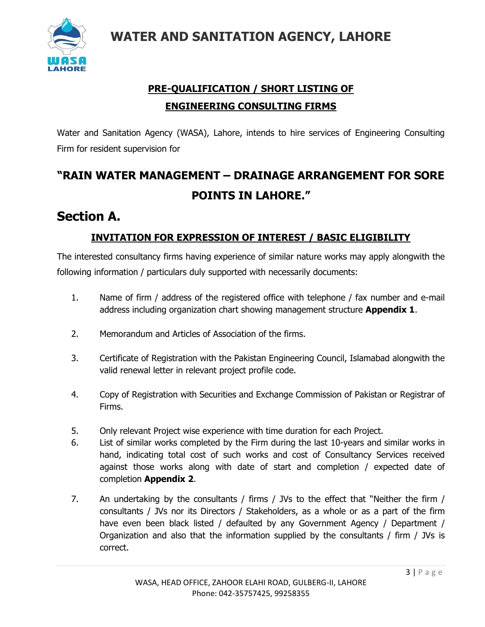

## **PRE-QUALIFICATION / SHORT LISTING OF ENGINEERING CONSULTING FIRMS**

Water and Sanitation Agency (WASA), Lahore, intends to hire services of Engineering Consulting Firm for resident supervision for

# **"RAIN WATER MANAGEMENT – DRAINAGE ARRANGEMENT FOR SORE POINTS IN LAHORE."**

## **Section A.**

### **INVITATION FOR EXPRESSION OF INTEREST / BASIC ELIGIBILITY**

The interested consultancy firms having experience of similar nature works may apply alongwith the following information / particulars duly supported with necessarily documents:

- 1. Name of firm / address of the registered office with telephone / fax number and e-mail address including organization chart showing management structure **Appendix 1**.
- 2. Memorandum and Articles of Association of the firms.
- 3. Certificate of Registration with the Pakistan Engineering Council, Islamabad alongwith the valid renewal letter in relevant project profile code.
- 4. Copy of Registration with Securities and Exchange Commission of Pakistan or Registrar of Firms.
- 5. Only relevant Project wise experience with time duration for each Project.
- 6. List of similar works completed by the Firm during the last 10-years and similar works in hand, indicating total cost of such works and cost of Consultancy Services received against those works along with date of start and completion / expected date of completion **Appendix 2**.
- 7. An undertaking by the consultants / firms / JVs to the effect that "Neither the firm / consultants / JVs nor its Directors / Stakeholders, as a whole or as a part of the firm have even been black listed / defaulted by any Government Agency / Department / Organization and also that the information supplied by the consultants / firm / JVs is correct.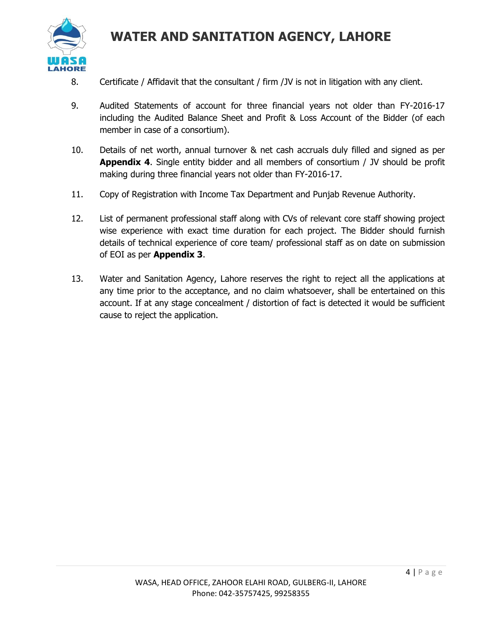

- 8. Certificate / Affidavit that the consultant / firm /JV is not in litigation with any client.
- 9. Audited Statements of account for three financial years not older than FY-2016-17 including the Audited Balance Sheet and Profit & Loss Account of the Bidder (of each member in case of a consortium).
- 10. Details of net worth, annual turnover & net cash accruals duly filled and signed as per **Appendix 4**. Single entity bidder and all members of consortium / JV should be profit making during three financial years not older than FY-2016-17.
- 11. Copy of Registration with Income Tax Department and Punjab Revenue Authority.
- 12. List of permanent professional staff along with CVs of relevant core staff showing project wise experience with exact time duration for each project. The Bidder should furnish details of technical experience of core team/ professional staff as on date on submission of EOI as per **Appendix 3**.
- 13. Water and Sanitation Agency, Lahore reserves the right to reject all the applications at any time prior to the acceptance, and no claim whatsoever, shall be entertained on this account. If at any stage concealment / distortion of fact is detected it would be sufficient cause to reject the application.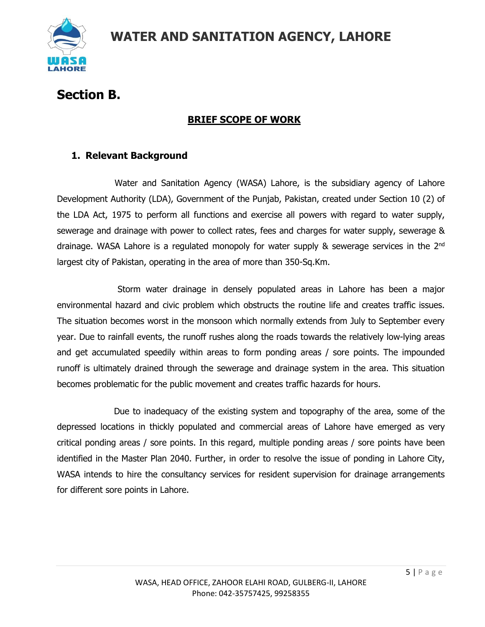

# **Section B.**

### **BRIEF SCOPE OF WORK**

#### **1. Relevant Background**

Water and Sanitation Agency (WASA) Lahore, is the subsidiary agency of Lahore Development Authority (LDA), Government of the Punjab, Pakistan, created under Section 10 (2) of the LDA Act, 1975 to perform all functions and exercise all powers with regard to water supply, sewerage and drainage with power to collect rates, fees and charges for water supply, sewerage & drainage. WASA Lahore is a regulated monopoly for water supply & sewerage services in the 2nd largest city of Pakistan, operating in the area of more than 350-Sq.Km.

Storm water drainage in densely populated areas in Lahore has been a major environmental hazard and civic problem which obstructs the routine life and creates traffic issues. The situation becomes worst in the monsoon which normally extends from July to September every year. Due to rainfall events, the runoff rushes along the roads towards the relatively low-lying areas and get accumulated speedily within areas to form ponding areas / sore points. The impounded runoff is ultimately drained through the sewerage and drainage system in the area. This situation becomes problematic for the public movement and creates traffic hazards for hours.

Due to inadequacy of the existing system and topography of the area, some of the depressed locations in thickly populated and commercial areas of Lahore have emerged as very critical ponding areas / sore points. In this regard, multiple ponding areas / sore points have been identified in the Master Plan 2040. Further, in order to resolve the issue of ponding in Lahore City, WASA intends to hire the consultancy services for resident supervision for drainage arrangements for different sore points in Lahore.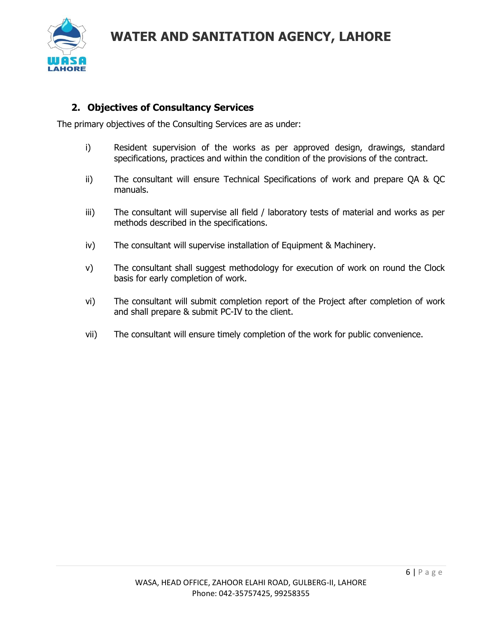

#### **2. Objectives of Consultancy Services**

The primary objectives of the Consulting Services are as under:

- i) Resident supervision of the works as per approved design, drawings, standard specifications, practices and within the condition of the provisions of the contract.
- ii) The consultant will ensure Technical Specifications of work and prepare QA & QC manuals.
- iii) The consultant will supervise all field / laboratory tests of material and works as per methods described in the specifications.
- iv) The consultant will supervise installation of Equipment & Machinery.
- v) The consultant shall suggest methodology for execution of work on round the Clock basis for early completion of work.
- vi) The consultant will submit completion report of the Project after completion of work and shall prepare & submit PC-IV to the client.
- vii) The consultant will ensure timely completion of the work for public convenience.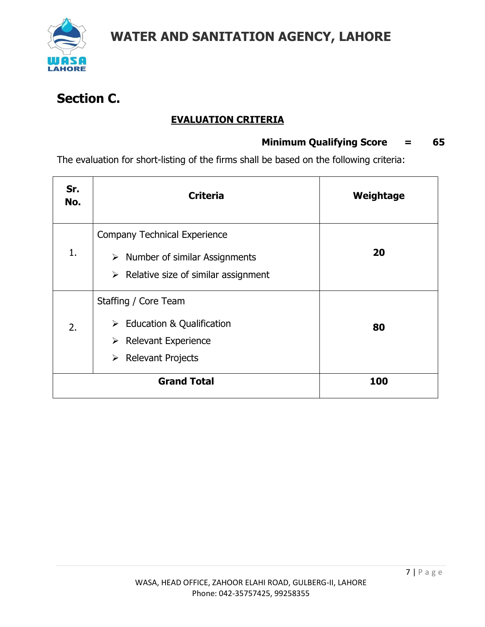

# **Section C.**

### **EVALUATION CRITERIA**

#### **Minimum Qualifying Score = 65**

The evaluation for short-listing of the firms shall be based on the following criteria:

| Sr.<br>No. | <b>Criteria</b>                                                                                                                                  | Weightage |
|------------|--------------------------------------------------------------------------------------------------------------------------------------------------|-----------|
| 1.         | <b>Company Technical Experience</b><br>$\triangleright$ Number of similar Assignments<br>$\triangleright$ Relative size of similar assignment    | 20        |
| 2.         | Staffing / Core Team<br>$\triangleright$ Education & Qualification<br>$\triangleright$ Relevant Experience<br>$\triangleright$ Relevant Projects | 80        |
|            | <b>Grand Total</b>                                                                                                                               | 100       |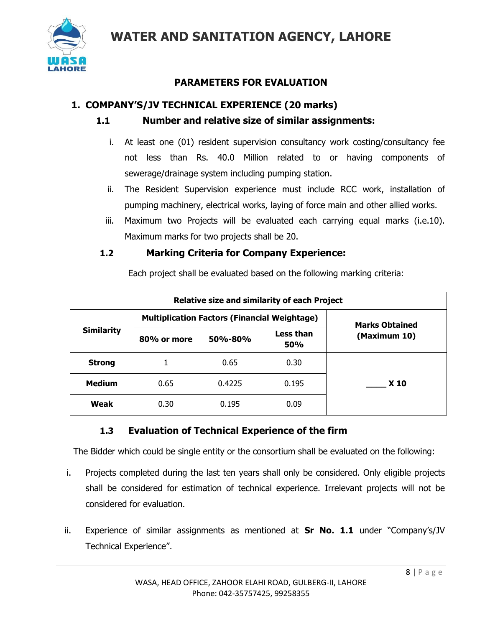

### **PARAMETERS FOR EVALUATION**

#### **1. COMPANY'S/JV TECHNICAL EXPERIENCE (20 marks)**

#### **1.1 Number and relative size of similar assignments:**

- i. At least one (01) resident supervision consultancy work costing/consultancy fee not less than Rs. 40.0 Million related to or having components of sewerage/drainage system including pumping station.
- ii. The Resident Supervision experience must include RCC work, installation of pumping machinery, electrical works, laying of force main and other allied works.
- iii. Maximum two Projects will be evaluated each carrying equal marks (i.e.10). Maximum marks for two projects shall be 20.

#### **1.2 Marking Criteria for Company Experience:**

|                   | <b>Relative size and similarity of each Project</b> |                       |                         |              |  |  |  |
|-------------------|-----------------------------------------------------|-----------------------|-------------------------|--------------|--|--|--|
| <b>Similarity</b> | <b>Multiplication Factors (Financial Weightage)</b> | <b>Marks Obtained</b> |                         |              |  |  |  |
|                   | 80% or more                                         | 50%-80%               | <b>Less than</b><br>50% | (Maximum 10) |  |  |  |
| <b>Strong</b>     |                                                     | 0.65                  | 0.30                    |              |  |  |  |
| <b>Medium</b>     | 0.65                                                | 0.4225                | 0.195                   | <b>X10</b>   |  |  |  |
| Weak              | 0.30                                                | 0.195                 | 0.09                    |              |  |  |  |

Each project shall be evaluated based on the following marking criteria:

### **1.3 Evaluation of Technical Experience of the firm**

The Bidder which could be single entity or the consortium shall be evaluated on the following:

- i. Projects completed during the last ten years shall only be considered. Only eligible projects shall be considered for estimation of technical experience. Irrelevant projects will not be considered for evaluation.
- ii. Experience of similar assignments as mentioned at **Sr No. 1.1** under "Company's/JV Technical Experience".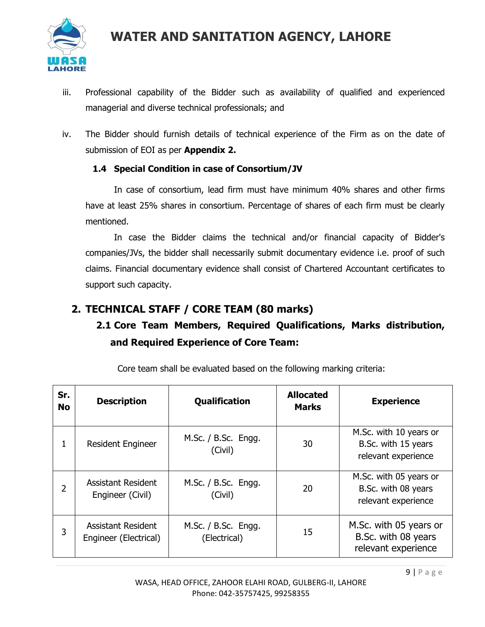

- iii. Professional capability of the Bidder such as availability of qualified and experienced managerial and diverse technical professionals; and
- iv. The Bidder should furnish details of technical experience of the Firm as on the date of submission of EOI as per **Appendix 2.**

#### **1.4 Special Condition in case of Consortium/JV**

In case of consortium, lead firm must have minimum 40% shares and other firms have at least 25% shares in consortium. Percentage of shares of each firm must be clearly mentioned.

In case the Bidder claims the technical and/or financial capacity of Bidder's companies/JVs, the bidder shall necessarily submit documentary evidence i.e. proof of such claims. Financial documentary evidence shall consist of Chartered Accountant certificates to support such capacity.

### **2. TECHNICAL STAFF / CORE TEAM (80 marks)**

### **2.1 Core Team Members, Required Qualifications, Marks distribution, and Required Experience of Core Team:**

| Sr.<br><b>No</b> | <b>Description</b>                                 | <b>Qualification</b>                | <b>Allocated</b><br><b>Marks</b> | <b>Experience</b>                                                    |
|------------------|----------------------------------------------------|-------------------------------------|----------------------------------|----------------------------------------------------------------------|
| 1                | <b>Resident Engineer</b>                           | M.Sc. / B.Sc. Engg.<br>(Civil)      | 30                               | M.Sc. with 10 years or<br>B.Sc. with 15 years<br>relevant experience |
| 2                | <b>Assistant Resident</b><br>Engineer (Civil)      | M.Sc. $/$ B.Sc. Engg.<br>(Civil)    | 20                               | M.Sc. with 05 years or<br>B.Sc. with 08 years<br>relevant experience |
| 3                | <b>Assistant Resident</b><br>Engineer (Electrical) | M.Sc. / B.Sc. Engg.<br>(Electrical) | 15                               | M.Sc. with 05 years or<br>B.Sc. with 08 years<br>relevant experience |

Core team shall be evaluated based on the following marking criteria: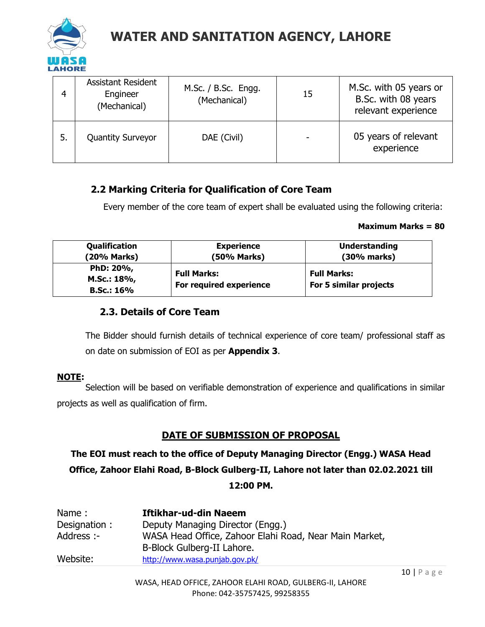

| 4  | <b>Assistant Resident</b><br>Engineer<br>(Mechanical) | M.Sc. / B.Sc. Engg.<br>(Mechanical) | 15 | M.Sc. with 05 years or<br>B.Sc. with 08 years<br>relevant experience |
|----|-------------------------------------------------------|-------------------------------------|----|----------------------------------------------------------------------|
| 5. | <b>Quantity Surveyor</b>                              | DAE (Civil)                         |    | 05 years of relevant<br>experience                                   |

#### **2.2 Marking Criteria for Qualification of Core Team**

Every member of the core team of expert shall be evaluated using the following criteria:

#### **Maximum Marks = 80**

| Qualification                          | <b>Experience</b>                             | <b>Understanding</b>                         |
|----------------------------------------|-----------------------------------------------|----------------------------------------------|
| (20% Marks)                            | (50% Marks)                                   | (30% marks)                                  |
| PhD: 20%,<br>M.Sc.: 18%,<br>B.Sc.: 16% | <b>Full Marks:</b><br>For required experience | <b>Full Marks:</b><br>For 5 similar projects |

#### **2.3. Details of Core Team**

The Bidder should furnish details of technical experience of core team/ professional staff as on date on submission of EOI as per **Appendix 3**.

#### **NOTE:**

Selection will be based on verifiable demonstration of experience and qualifications in similar projects as well as qualification of firm.

#### **DATE OF SUBMISSION OF PROPOSAL**

**The EOI must reach to the office of Deputy Managing Director (Engg.) WASA Head Office, Zahoor Elahi Road, B-Block Gulberg-II, Lahore not later than 02.02.2021 till 12:00 PM.**

| Name:        | <b>Iftikhar-ud-din Naeem</b>                                                         |
|--------------|--------------------------------------------------------------------------------------|
| Designation: | Deputy Managing Director (Engg.)                                                     |
| Address :-   | WASA Head Office, Zahoor Elahi Road, Near Main Market,<br>B-Block Gulberg-II Lahore. |
| Website:     | http://www.wasa.punjab.gov.pk/                                                       |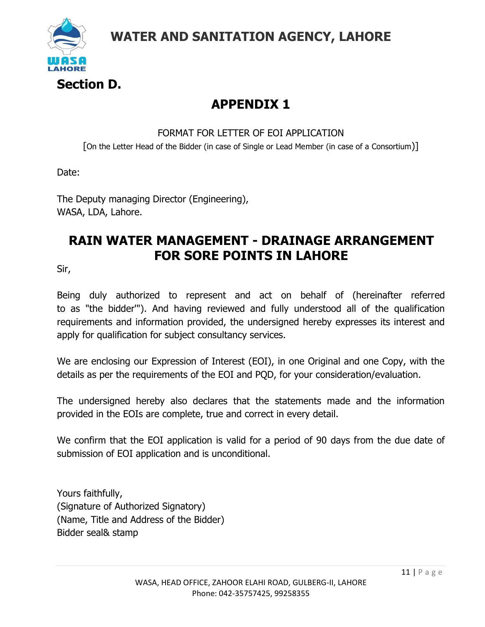

## **APPENDIX 1**

FORMAT FOR LETTER OF EOI APPLICATION [On the Letter Head of the Bidder (in case of Single or Lead Member (in case of a Consortium)]

Date:

The Deputy managing Director (Engineering), WASA, LDA, Lahore.

## **RAIN WATER MANAGEMENT - DRAINAGE ARRANGEMENT FOR SORE POINTS IN LAHORE**

Sir,

Being duly authorized to represent and act on behalf of (hereinafter referred to as "the bidder'"). And having reviewed and fully understood all of the qualification requirements and information provided, the undersigned hereby expresses its interest and apply for qualification for subject consultancy services.

We are enclosing our Expression of Interest (EOI), in one Original and one Copy, with the details as per the requirements of the EOI and PQD, for your consideration/evaluation.

The undersigned hereby also declares that the statements made and the information provided in the EOIs are complete, true and correct in every detail.

We confirm that the EOI application is valid for a period of 90 days from the due date of submission of EOI application and is unconditional.

Yours faithfully, (Signature of Authorized Signatory) (Name, Title and Address of the Bidder) Bidder seal& stamp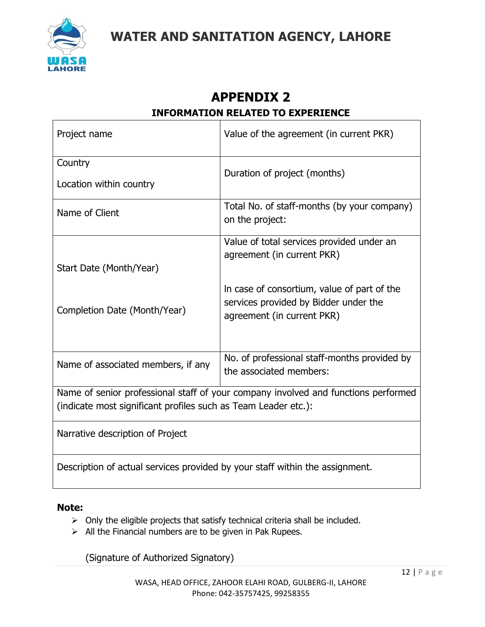

### **APPENDIX 2 INFORMATION RELATED TO EXPERIENCE**

| Project name                                                                 | Value of the agreement (in current PKR)                                            |  |  |  |
|------------------------------------------------------------------------------|------------------------------------------------------------------------------------|--|--|--|
| Country                                                                      |                                                                                    |  |  |  |
| Location within country                                                      | Duration of project (months)                                                       |  |  |  |
| Name of Client                                                               | Total No. of staff-months (by your company)<br>on the project:                     |  |  |  |
|                                                                              |                                                                                    |  |  |  |
|                                                                              | Value of total services provided under an                                          |  |  |  |
|                                                                              | agreement (in current PKR)                                                         |  |  |  |
| Start Date (Month/Year)                                                      |                                                                                    |  |  |  |
|                                                                              | In case of consortium, value of part of the                                        |  |  |  |
|                                                                              | services provided by Bidder under the                                              |  |  |  |
| Completion Date (Month/Year)                                                 | agreement (in current PKR)                                                         |  |  |  |
|                                                                              |                                                                                    |  |  |  |
|                                                                              |                                                                                    |  |  |  |
| Name of associated members, if any                                           | No. of professional staff-months provided by                                       |  |  |  |
|                                                                              | the associated members:                                                            |  |  |  |
|                                                                              | Name of senior professional staff of your company involved and functions performed |  |  |  |
| (indicate most significant profiles such as Team Leader etc.):               |                                                                                    |  |  |  |
| Narrative description of Project                                             |                                                                                    |  |  |  |
| Description of actual services provided by your staff within the assignment. |                                                                                    |  |  |  |
|                                                                              |                                                                                    |  |  |  |

#### **Note:**

- ➢ Only the eligible projects that satisfy technical criteria shall be included.
- $\triangleright$  All the Financial numbers are to be given in Pak Rupees.

(Signature of Authorized Signatory)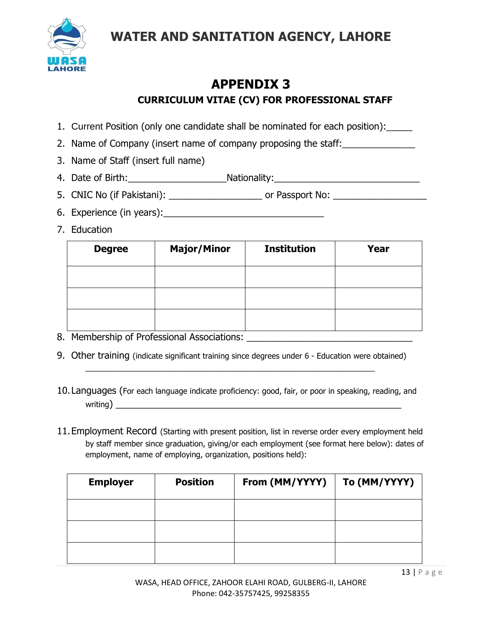

## **APPENDIX 3 CURRICULUM VITAE (CV) FOR PROFESSIONAL STAFF**

- 1. Current Position (only one candidate shall be nominated for each position):\_\_\_\_\_
- 2. Name of Company (insert name of company proposing the staff:
- 3. Name of Staff (insert full name)
- 4. Date of Birth: Nationality: Nationality:
- 5. CNIC No (if Pakistani): \_\_\_\_\_\_\_\_\_\_\_\_\_\_\_\_\_\_ or Passport No: \_\_\_\_\_\_\_\_\_\_\_\_\_\_\_\_\_\_
- 6. Experience (in years):
- 7. Education

| <b>Degree</b> | <b>Major/Minor</b> | <b>Institution</b> | Year |
|---------------|--------------------|--------------------|------|
|               |                    |                    |      |
|               |                    |                    |      |
|               |                    |                    |      |

- 8. Membership of Professional Associations: \_\_\_\_\_\_\_\_\_\_\_\_\_\_\_\_\_\_\_\_\_\_\_\_\_\_\_\_\_\_\_\_
- 9. Other training (indicate significant training since degrees under 6 Education were obtained)  $\mathcal{L}_\mathcal{L} = \{ \mathcal{L}_\mathcal{L} = \{ \mathcal{L}_\mathcal{L} = \{ \mathcal{L}_\mathcal{L} = \{ \mathcal{L}_\mathcal{L} = \{ \mathcal{L}_\mathcal{L} = \{ \mathcal{L}_\mathcal{L} = \{ \mathcal{L}_\mathcal{L} = \{ \mathcal{L}_\mathcal{L} = \{ \mathcal{L}_\mathcal{L} = \{ \mathcal{L}_\mathcal{L} = \{ \mathcal{L}_\mathcal{L} = \{ \mathcal{L}_\mathcal{L} = \{ \mathcal{L}_\mathcal{L} = \{ \mathcal{L}_\mathcal{$
- 10.Languages (For each language indicate proficiency: good, fair, or poor in speaking, reading, and  $w$ riting)
- 11.Employment Record (Starting with present position, list in reverse order every employment held by staff member since graduation, giving/or each employment (see format here below): dates of employment, name of employing, organization, positions held):

| <b>Employer</b> | <b>Position</b> | From (MM/YYYY) | To (MM/YYYY) |
|-----------------|-----------------|----------------|--------------|
|                 |                 |                |              |
|                 |                 |                |              |
|                 |                 |                |              |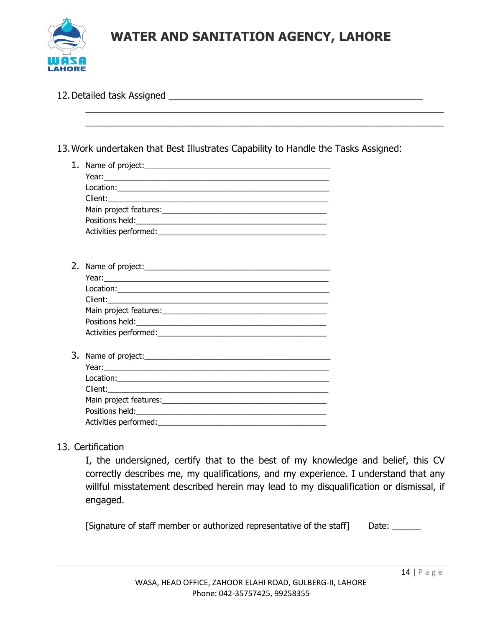

| 13. Work undertaken that Best Illustrates Capability to Handle the Tasks Assigned:                                 |  |
|--------------------------------------------------------------------------------------------------------------------|--|
|                                                                                                                    |  |
|                                                                                                                    |  |
|                                                                                                                    |  |
|                                                                                                                    |  |
|                                                                                                                    |  |
|                                                                                                                    |  |
|                                                                                                                    |  |
|                                                                                                                    |  |
|                                                                                                                    |  |
|                                                                                                                    |  |
|                                                                                                                    |  |
|                                                                                                                    |  |
|                                                                                                                    |  |
|                                                                                                                    |  |
|                                                                                                                    |  |
|                                                                                                                    |  |
| Year: <u>Contract Communication</u> Contract Communication Communication Communication Communication Communication |  |
|                                                                                                                    |  |
|                                                                                                                    |  |
|                                                                                                                    |  |
|                                                                                                                    |  |
|                                                                                                                    |  |

#### 13. Certification

I, the undersigned, certify that to the best of my knowledge and belief, this CV correctly describes me, my qualifications, and my experience. I understand that any willful misstatement described herein may lead to my disqualification or dismissal, if engaged.

[Signature of staff member or authorized representative of the staff] Date: \_\_\_\_\_